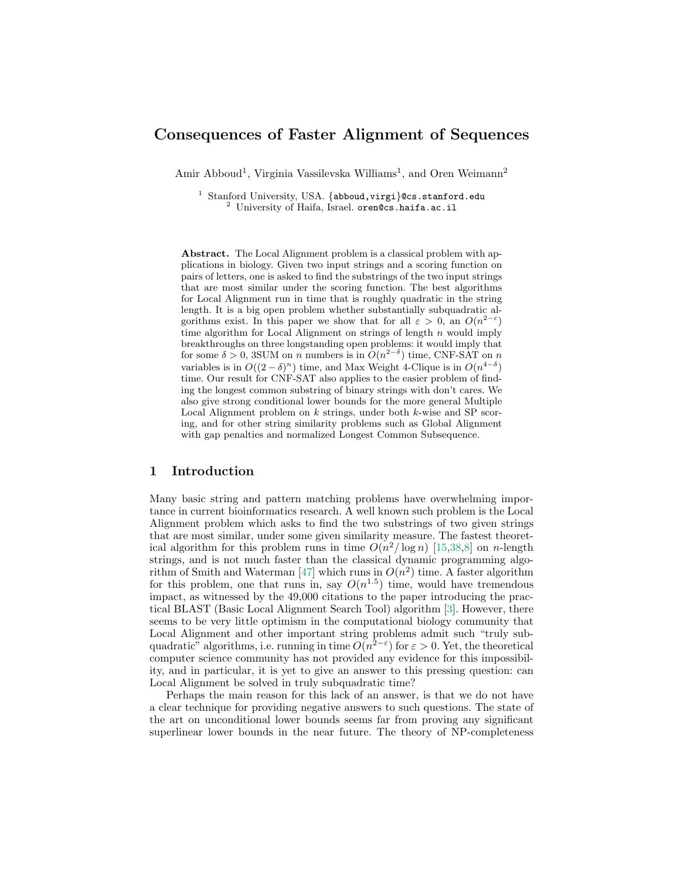# Consequences of Faster Alignment of Sequences

Amir Abboud<sup>1</sup>, Virginia Vassilevska Williams<sup>1</sup>, and Oren Weimann<sup>2</sup>

<sup>1</sup> Stanford University, USA. {abboud, virgi}@cs.stanford.edu  $^2$  University of Haifa, Israel. oren@cs.haifa.ac.il

Abstract. The Local Alignment problem is a classical problem with applications in biology. Given two input strings and a scoring function on pairs of letters, one is asked to find the substrings of the two input strings that are most similar under the scoring function. The best algorithms for Local Alignment run in time that is roughly quadratic in the string length. It is a big open problem whether substantially subquadratic algorithms exist. In this paper we show that for all  $\varepsilon > 0$ , an  $O(n^{2-\varepsilon})$ time algorithm for Local Alignment on strings of length  $n$  would imply breakthroughs on three longstanding open problems: it would imply that for some  $\delta > 0$ , 3SUM on n numbers is in  $O(n^{2-\delta})$  time, CNF-SAT on n variables is in  $O((2 - \delta)^n)$  time, and Max Weight 4-Clique is in  $O(n^{4-\delta})$ time. Our result for CNF-SAT also applies to the easier problem of finding the longest common substring of binary strings with don't cares. We also give strong conditional lower bounds for the more general Multiple Local Alignment problem on  $k$  strings, under both  $k$ -wise and SP scoring, and for other string similarity problems such as Global Alignment with gap penalties and normalized Longest Common Subsequence.

### 1 Introduction

Many basic string and pattern matching problems have overwhelming importance in current bioinformatics research. A well known such problem is the Local Alignment problem which asks to find the two substrings of two given strings that are most similar, under some given similarity measure. The fastest theoretical algorithm for this problem runs in time  $O(n^2/\log n)$  [\[15](#page-10-0)[,38](#page-11-0)[,8\]](#page-10-1) on *n*-length strings, and is not much faster than the classical dynamic programming algo-rithm of Smith and Waterman [\[47\]](#page-11-1) which runs in  $O(n^2)$  time. A faster algorithm for this problem, one that runs in, say  $O(n^{1.5})$  time, would have tremendous impact, as witnessed by the 49,000 citations to the paper introducing the practical BLAST (Basic Local Alignment Search Tool) algorithm [\[3\]](#page-9-0). However, there seems to be very little optimism in the computational biology community that Local Alignment and other important string problems admit such "truly subquadratic<sup>"</sup> algorithms, i.e. running in time  $O(n^{2-\epsilon})$  for  $\varepsilon > 0$ . Yet, the theoretical computer science community has not provided any evidence for this impossibility, and in particular, it is yet to give an answer to this pressing question: can Local Alignment be solved in truly subquadratic time?

Perhaps the main reason for this lack of an answer, is that we do not have a clear technique for providing negative answers to such questions. The state of the art on unconditional lower bounds seems far from proving any significant superlinear lower bounds in the near future. The theory of NP-completeness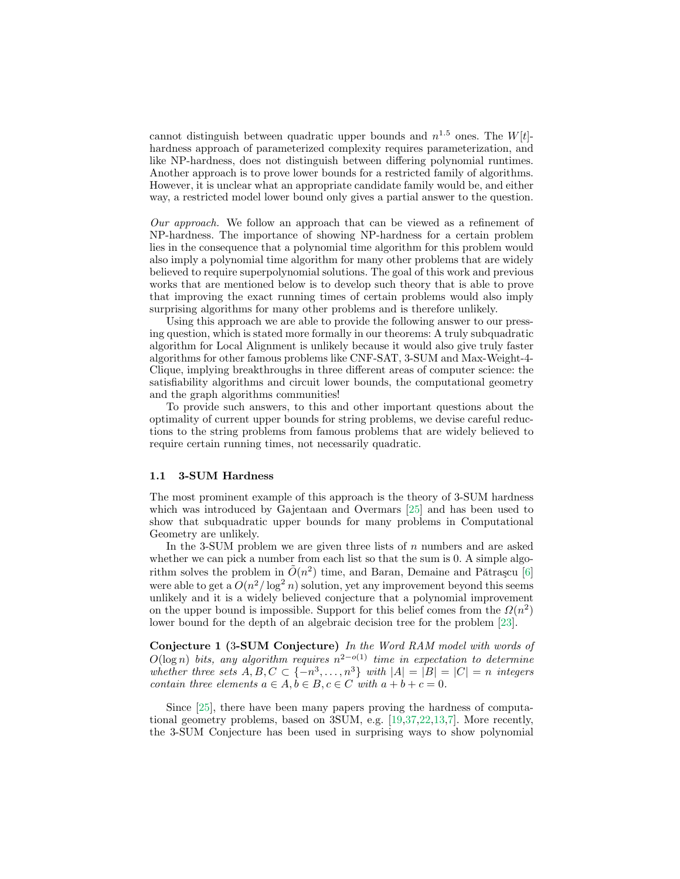cannot distinguish between quadratic upper bounds and  $n^{1.5}$  ones. The  $W[t]$ hardness approach of parameterized complexity requires parameterization, and like NP-hardness, does not distinguish between differing polynomial runtimes. Another approach is to prove lower bounds for a restricted family of algorithms. However, it is unclear what an appropriate candidate family would be, and either way, a restricted model lower bound only gives a partial answer to the question.

Our approach. We follow an approach that can be viewed as a refinement of NP-hardness. The importance of showing NP-hardness for a certain problem lies in the consequence that a polynomial time algorithm for this problem would also imply a polynomial time algorithm for many other problems that are widely believed to require superpolynomial solutions. The goal of this work and previous works that are mentioned below is to develop such theory that is able to prove that improving the exact running times of certain problems would also imply surprising algorithms for many other problems and is therefore unlikely.

Using this approach we are able to provide the following answer to our pressing question, which is stated more formally in our theorems: A truly subquadratic algorithm for Local Alignment is unlikely because it would also give truly faster algorithms for other famous problems like CNF-SAT, 3-SUM and Max-Weight-4- Clique, implying breakthroughs in three different areas of computer science: the satisfiability algorithms and circuit lower bounds, the computational geometry and the graph algorithms communities!

To provide such answers, to this and other important questions about the optimality of current upper bounds for string problems, we devise careful reductions to the string problems from famous problems that are widely believed to require certain running times, not necessarily quadratic.

#### 1.1 3-SUM Hardness

The most prominent example of this approach is the theory of 3-SUM hardness which was introduced by Gajentaan and Overmars [\[25\]](#page-10-2) and has been used to show that subquadratic upper bounds for many problems in Computational Geometry are unlikely.

In the 3-SUM problem we are given three lists of  $n$  numbers and are asked whether we can pick a number from each list so that the sum is 0. A simple algorithm solves the problem in  $\tilde{O}(n^2)$  time, and Baran, Demaine and Pătraşcu [\[6\]](#page-10-3) were able to get a  $O(n^2/\log^2 n)$  solution, yet any improvement beyond this seems unlikely and it is a widely believed conjecture that a polynomial improvement on the upper bound is impossible. Support for this belief comes from the  $\Omega(n^2)$ lower bound for the depth of an algebraic decision tree for the problem [\[23\]](#page-10-4).

Conjecture 1 (3-SUM Conjecture) In the Word RAM model with words of  $O(\log n)$  bits, any algorithm requires  $n^{2-o(1)}$  time in expectation to determine whether three sets  $A, B, C \subset \{-n^3, \ldots, n^3\}$  with  $|A| = |B| = |C| = n$  integers contain three elements  $a \in A, b \in B, c \in C$  with  $a + b + c = 0$ .

Since [\[25\]](#page-10-2), there have been many papers proving the hardness of computational geometry problems, based on 3SUM, e.g. [\[19](#page-10-5)[,37,](#page-11-2)[22,](#page-10-6)[13,](#page-10-7)[7\]](#page-10-8). More recently, the 3-SUM Conjecture has been used in surprising ways to show polynomial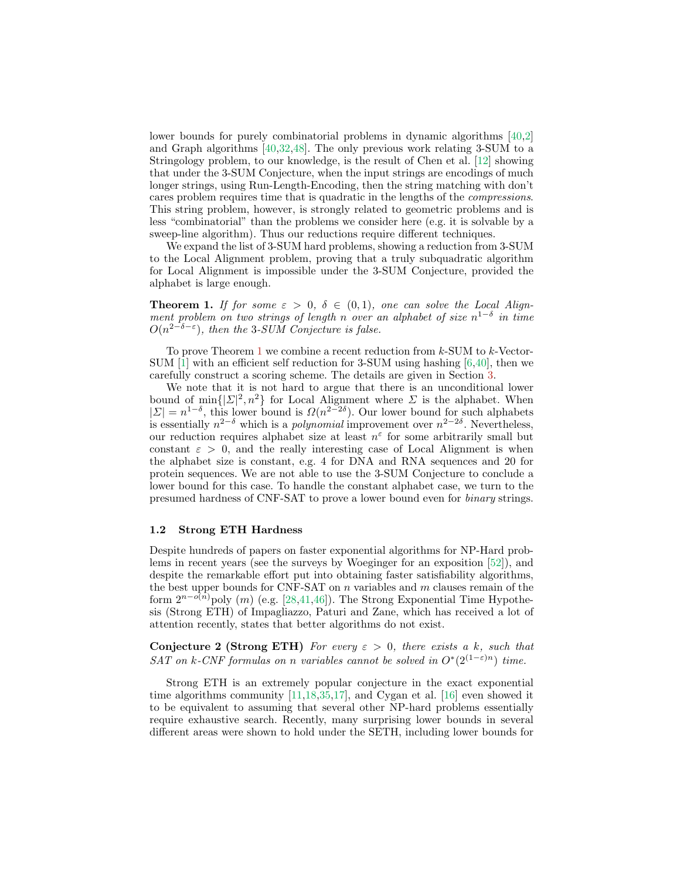lower bounds for purely combinatorial problems in dynamic algorithms [\[40,](#page-11-3)[2\]](#page-9-1) and Graph algorithms [\[40,](#page-11-3)[32](#page-11-4)[,48\]](#page-11-5). The only previous work relating 3-SUM to a Stringology problem, to our knowledge, is the result of Chen et al. [\[12\]](#page-10-9) showing that under the 3-SUM Conjecture, when the input strings are encodings of much longer strings, using Run-Length-Encoding, then the string matching with don't cares problem requires time that is quadratic in the lengths of the compressions. This string problem, however, is strongly related to geometric problems and is less "combinatorial" than the problems we consider here (e.g. it is solvable by a sweep-line algorithm). Thus our reductions require different techniques.

We expand the list of 3-SUM hard problems, showing a reduction from 3-SUM to the Local Alignment problem, proving that a truly subquadratic algorithm for Local Alignment is impossible under the 3-SUM Conjecture, provided the alphabet is large enough.

<span id="page-2-0"></span>**Theorem 1.** If for some  $\varepsilon > 0$ ,  $\delta \in (0,1)$ , one can solve the Local Alignment problem on two strings of length n over an alphabet of size  $n^{1-\delta}$  in time  $O(n^{2-\delta-\varepsilon})$ , then the 3-SUM Conjecture is false.

To prove Theorem [1](#page-2-0) we combine a recent reduction from  $k$ -SUM to  $k$ -Vector-SUM [\[1\]](#page-9-2) with an efficient self reduction for 3-SUM using hashing [\[6,](#page-10-3)[40\]](#page-11-3), then we carefully construct a scoring scheme. The details are given in Section [3.](#page-6-0)

We note that it is not hard to argue that there is an unconditional lower bound of  $\min\{|{\Sigma}|^2, n^2\}$  for Local Alignment where  ${\Sigma}$  is the alphabet. When  $|\Sigma| = n^{1-\delta}$ , this lower bound is  $\Omega(n^{2-2\delta})$ . Our lower bound for such alphabets is essentially  $n^{2-\delta}$  which is a *polynomial* improvement over  $n^{2-2\delta}$ . Nevertheless, our reduction requires alphabet size at least  $n^{\varepsilon}$  for some arbitrarily small but constant  $\varepsilon > 0$ , and the really interesting case of Local Alignment is when the alphabet size is constant, e.g. 4 for DNA and RNA sequences and 20 for protein sequences. We are not able to use the 3-SUM Conjecture to conclude a lower bound for this case. To handle the constant alphabet case, we turn to the presumed hardness of CNF-SAT to prove a lower bound even for binary strings.

#### 1.2 Strong ETH Hardness

Despite hundreds of papers on faster exponential algorithms for NP-Hard problems in recent years (see the surveys by Woeginger for an exposition [\[52\]](#page-11-6)), and despite the remarkable effort put into obtaining faster satisfiability algorithms, the best upper bounds for CNF-SAT on  $n$  variables and  $m$  clauses remain of the form  $2^{n-o(n)}$ poly  $(m)$  (e.g. [\[28,](#page-10-10)[41,](#page-11-7)[46\]](#page-11-8)). The Strong Exponential Time Hypothesis (Strong ETH) of Impagliazzo, Paturi and Zane, which has received a lot of attention recently, states that better algorithms do not exist.

Conjecture 2 (Strong ETH) For every  $\varepsilon > 0$ , there exists a k, such that SAT on k-CNF formulas on n variables cannot be solved in  $O^*(2^{(1-\varepsilon)n})$  time.

Strong ETH is an extremely popular conjecture in the exact exponential time algorithms community [\[11](#page-10-11)[,18,](#page-10-12)[35,](#page-11-9)[17\]](#page-10-13), and Cygan et al. [\[16\]](#page-10-14) even showed it to be equivalent to assuming that several other NP-hard problems essentially require exhaustive search. Recently, many surprising lower bounds in several different areas were shown to hold under the SETH, including lower bounds for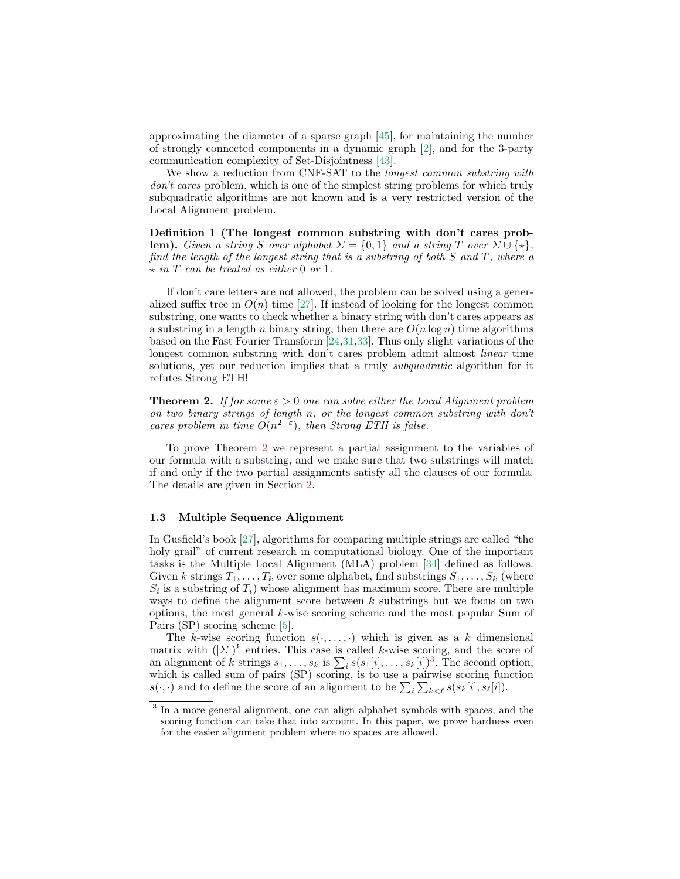approximating the diameter of a sparse graph [\[45\]](#page-11-10), for maintaining the number of strongly connected components in a dynamic graph [\[2\]](#page-9-1), and for the 3-party communication complexity of Set-Disjointness [\[43\]](#page-11-11).

We show a reduction from CNF-SAT to the *longest common substring with* don't cares problem, which is one of the simplest string problems for which truly subquadratic algorithms are not known and is a very restricted version of the Local Alignment problem.

Definition 1 (The longest common substring with don't cares prob**lem).** Given a string S over alphabet  $\Sigma = \{0, 1\}$  and a string T over  $\Sigma \cup \{\star\},$ find the length of the longest string that is a substring of both  $S$  and  $T$ , where a  $\star$  in T can be treated as either 0 or 1.

If don't care letters are not allowed, the problem can be solved using a generalized suffix tree in  $O(n)$  time [\[27\]](#page-10-15). If instead of looking for the longest common substring, one wants to check whether a binary string with don't cares appears as a substring in a length n binary string, then there are  $O(n \log n)$  time algorithms based on the Fast Fourier Transform [\[24,](#page-10-16)[31,](#page-11-12)[33\]](#page-11-13). Thus only slight variations of the longest common substring with don't cares problem admit almost *linear* time solutions, yet our reduction implies that a truly *subquadratic* algorithm for it refutes Strong ETH!

<span id="page-3-0"></span>**Theorem 2.** If for some  $\varepsilon > 0$  one can solve either the Local Alignment problem on two binary strings of length n, or the longest common substring with don't cares problem in time  $O(n^{2-\epsilon})$ , then Strong ETH is false.

To prove Theorem [2](#page-3-0) we represent a partial assignment to the variables of our formula with a substring, and we make sure that two substrings will match if and only if the two partial assignments satisfy all the clauses of our formula. The details are given in Section [2.](#page-5-0)

#### 1.3 Multiple Sequence Alignment

In Gusfield's book [\[27\]](#page-10-15), algorithms for comparing multiple strings are called "the holy grail" of current research in computational biology. One of the important tasks is the Multiple Local Alignment (MLA) problem [\[34\]](#page-11-14) defined as follows. Given k strings  $T_1, \ldots, T_k$  over some alphabet, find substrings  $S_1, \ldots, S_k$  (where  $S_i$  is a substring of  $T_i$ ) whose alignment has maximum score. There are multiple ways to define the alignment score between  $k$  substrings but we focus on two options, the most general k-wise scoring scheme and the most popular Sum of Pairs (SP) scoring scheme [\[5\]](#page-10-17).

The k-wise scoring function  $s(\cdot, \ldots, \cdot)$  which is given as a k dimensional matrix with  $(|\Sigma|)^k$  entries. This case is called k-wise scoring, and the score of an alignment of k strings  $s_1, \ldots, s_k$  is  $\sum_i s(s_1[i], \ldots, s_k[i])^3$  $\sum_i s(s_1[i], \ldots, s_k[i])^3$ . The second option, which is called sum of pairs (SP) scoring, is to use a pairwise scoring function  $s(\cdot, \cdot)$  and to define the score of an alignment to be  $\sum_i \sum_{k \lt \ell} s(s_k[i], s_\ell[i])$ .

<span id="page-3-1"></span><sup>&</sup>lt;sup>3</sup> In a more general alignment, one can align alphabet symbols with spaces, and the scoring function can take that into account. In this paper, we prove hardness even for the easier alignment problem where no spaces are allowed.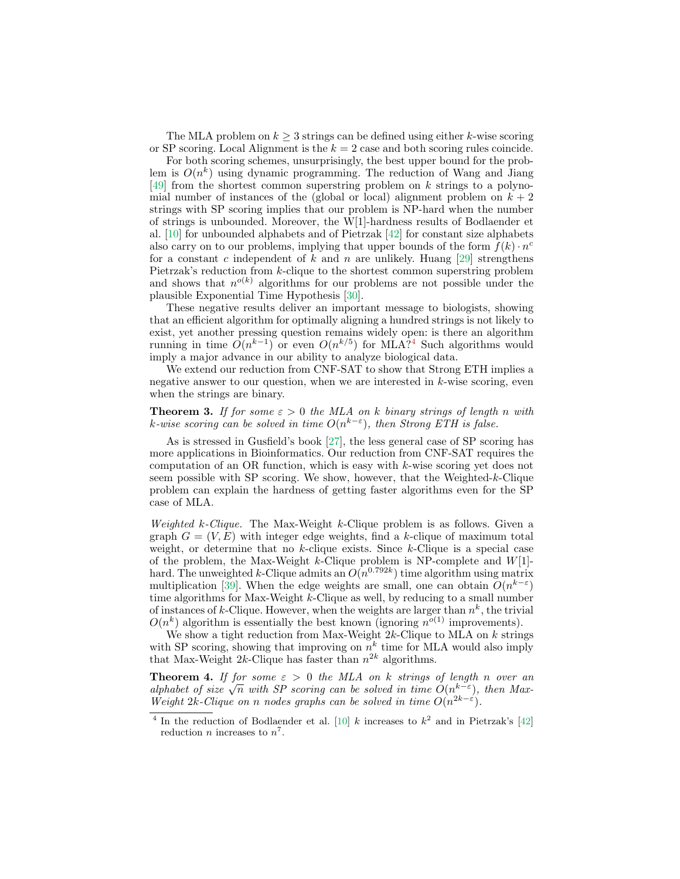The MLA problem on  $k \geq 3$  strings can be defined using either k-wise scoring or SP scoring. Local Alignment is the  $k = 2$  case and both scoring rules coincide.

For both scoring schemes, unsurprisingly, the best upper bound for the problem is  $O(n^k)$  using dynamic programming. The reduction of Wang and Jiang [\[49\]](#page-11-15) from the shortest common superstring problem on  $k$  strings to a polynomial number of instances of the (global or local) alignment problem on  $k + 2$ strings with SP scoring implies that our problem is NP-hard when the number of strings is unbounded. Moreover, the W[1]-hardness results of Bodlaender et al. [\[10\]](#page-10-18) for unbounded alphabets and of Pietrzak [\[42\]](#page-11-16) for constant size alphabets also carry on to our problems, implying that upper bounds of the form  $f(k) \cdot n^c$ for a constant c independent of k and n are unlikely. Huang [\[29\]](#page-10-19) strengthens Pietrzak's reduction from k-clique to the shortest common superstring problem and shows that  $n^{o(k)}$  algorithms for our problems are not possible under the plausible Exponential Time Hypothesis [\[30\]](#page-11-17).

These negative results deliver an important message to biologists, showing that an efficient algorithm for optimally aligning a hundred strings is not likely to exist, yet another pressing question remains widely open: is there an algorithm running in time  $O(n^{k-1})$  or even  $O(n^{k/5})$  for MLA?<sup>[4](#page-4-0)</sup> Such algorithms would imply a major advance in our ability to analyze biological data.

We extend our reduction from CNF-SAT to show that Strong ETH implies a negative answer to our question, when we are interested in  $k$ -wise scoring, even when the strings are binary.

# <span id="page-4-1"></span>**Theorem 3.** If for some  $\varepsilon > 0$  the MLA on k binary strings of length n with k-wise scoring can be solved in time  $O(n^{k-\varepsilon})$ , then Strong ETH is false.

As is stressed in Gusfield's book [\[27\]](#page-10-15), the less general case of SP scoring has more applications in Bioinformatics. Our reduction from CNF-SAT requires the computation of an OR function, which is easy with k-wise scoring yet does not seem possible with SP scoring. We show, however, that the Weighted-k-Clique problem can explain the hardness of getting faster algorithms even for the SP case of MLA.

Weighted k-Clique. The Max-Weight k-Clique problem is as follows. Given a graph  $G = (V, E)$  with integer edge weights, find a k-clique of maximum total weight, or determine that no  $k$ -clique exists. Since  $k$ -Clique is a special case of the problem, the Max-Weight  $k$ -Clique problem is NP-complete and  $W[1]$ hard. The unweighted k-Clique admits an  $O(n^{0.792k})$  time algorithm using matrix multiplication [\[39\]](#page-11-18). When the edge weights are small, one can obtain  $O(n^{k-\varepsilon})$ time algorithms for Max-Weight k-Clique as well, by reducing to a small number of instances of k-Clique. However, when the weights are larger than  $n^k$ , the trivial  $O(n^k)$  algorithm is essentially the best known (ignoring  $n^{o(1)}$  improvements).

We show a tight reduction from Max-Weight  $2k$ -Clique to MLA on  $k$  strings with SP scoring, showing that improving on  $n^k$  time for MLA would also imply that Max-Weight 2k-Clique has faster than  $n^{2k}$  algorithms.

<span id="page-4-2"></span>**Theorem 4.** If for some  $\varepsilon > 0$  the MLA on k strings of length n over an **Theorem 4.** If for some  $\varepsilon > 0$  the MLA on  $\kappa$  strings of tength n over an alphabet of size  $\sqrt{n}$  with SP scoring can be solved in time  $O(n^{k-\varepsilon})$ , then Max-Weight  $2k$ -Clique on n nodes graphs can be solved in time  $O(n^{2k-\epsilon})$ .

<span id="page-4-0"></span><sup>&</sup>lt;sup>4</sup> In the reduction of Bodlaender et al. [\[10\]](#page-10-18) k increases to  $k^2$  and in Pietrzak's [\[42\]](#page-11-16) reduction *n* increases to  $n^7$ .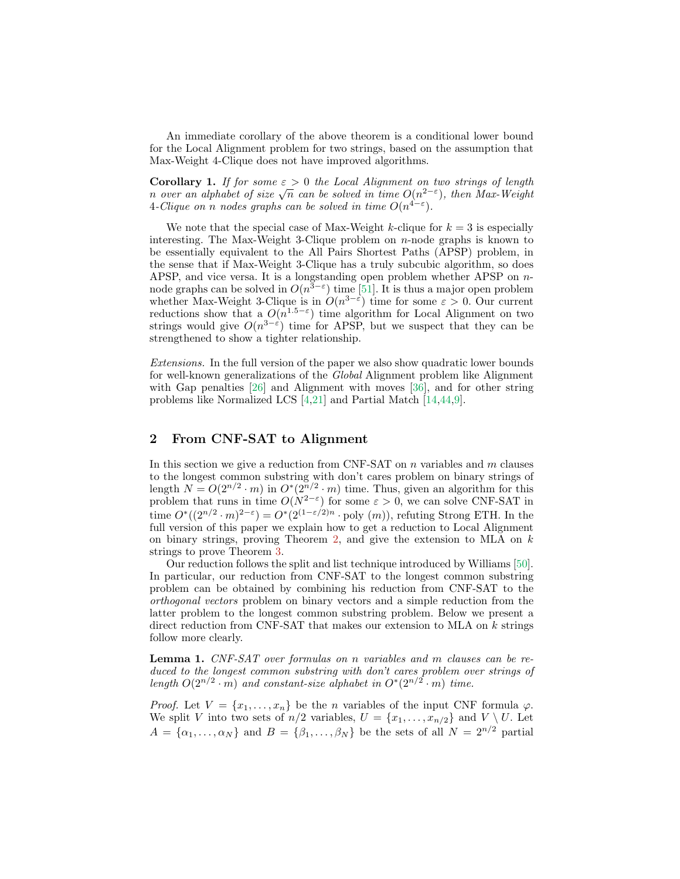An immediate corollary of the above theorem is a conditional lower bound for the Local Alignment problem for two strings, based on the assumption that Max-Weight 4-Clique does not have improved algorithms.

Corollary 1. If for some  $\varepsilon > 0$  the Local Alignment on two strings of length **Corollary 1.** If for some  $\varepsilon > 0$  the Local Alignment on two strings of length n over an alphabet of size  $\sqrt{n}$  can be solved in time  $O(n^{2-\varepsilon})$ , then Max-Weight 4-Clique on n nodes graphs can be solved in time  $O(n^{4-\epsilon})$ .

We note that the special case of Max-Weight k-clique for  $k = 3$  is especially interesting. The Max-Weight 3-Clique problem on  $n$ -node graphs is known to be essentially equivalent to the All Pairs Shortest Paths (APSP) problem, in the sense that if Max-Weight 3-Clique has a truly subcubic algorithm, so does APSP, and vice versa. It is a longstanding open problem whether APSP on nnode graphs can be solved in  $O(n^{3-\epsilon})$  time [\[51\]](#page-11-19). It is thus a major open problem whether Max-Weight 3-Clique is in  $O(n^{3-\varepsilon})$  time for some  $\varepsilon > 0$ . Our current reductions show that a  $O(n^{1.5-\epsilon})$  time algorithm for Local Alignment on two strings would give  $O(n^{3-\epsilon})$  time for APSP, but we suspect that they can be strengthened to show a tighter relationship.

Extensions. In the full version of the paper we also show quadratic lower bounds for well-known generalizations of the Global Alignment problem like Alignment with Gap penalties [\[26\]](#page-10-20) and Alignment with moves [\[36\]](#page-11-20), and for other string problems like Normalized LCS [\[4,](#page-9-3)[21\]](#page-10-21) and Partial Match [\[14,](#page-10-22)[44](#page-11-21)[,9\]](#page-10-23).

### <span id="page-5-0"></span>2 From CNF-SAT to Alignment

In this section we give a reduction from CNF-SAT on  $n$  variables and  $m$  clauses to the longest common substring with don't cares problem on binary strings of length  $N = O(2^{n/2} \cdot m)$  in  $O^*(2^{n/2} \cdot m)$  time. Thus, given an algorithm for this problem that runs in time  $O(N^{2-\epsilon})$  for some  $\varepsilon > 0$ , we can solve CNF-SAT in time  $O^*((2^{n/2} \cdot m)^{2-\epsilon}) = O^*(2^{(1-\epsilon/2)n} \cdot \text{poly}(m))$ , refuting Strong ETH. In the full version of this paper we explain how to get a reduction to Local Alignment on binary strings, proving Theorem [2,](#page-3-0) and give the extension to MLA on  $k$ strings to prove Theorem [3.](#page-4-1)

Our reduction follows the split and list technique introduced by Williams [\[50\]](#page-11-22). In particular, our reduction from CNF-SAT to the longest common substring problem can be obtained by combining his reduction from CNF-SAT to the orthogonal vectors problem on binary vectors and a simple reduction from the latter problem to the longest common substring problem. Below we present a direct reduction from CNF-SAT that makes our extension to MLA on  $k$  strings follow more clearly.

Lemma 1. CNF-SAT over formulas on n variables and m clauses can be reduced to the longest common substring with don't cares problem over strings of length  $O(2^{n/2} \cdot m)$  and constant-size alphabet in  $O^*(2^{n/2} \cdot m)$  time.

*Proof.* Let  $V = \{x_1, \ldots, x_n\}$  be the *n* variables of the input CNF formula  $\varphi$ . We split V into two sets of  $n/2$  variables,  $U = \{x_1, \ldots, x_{n/2}\}$  and  $V \setminus U$ . Let  $A = {\alpha_1, ..., \alpha_N}$  and  $B = {\beta_1, ..., \beta_N}$  be the sets of all  $N = 2^{n/2}$  partial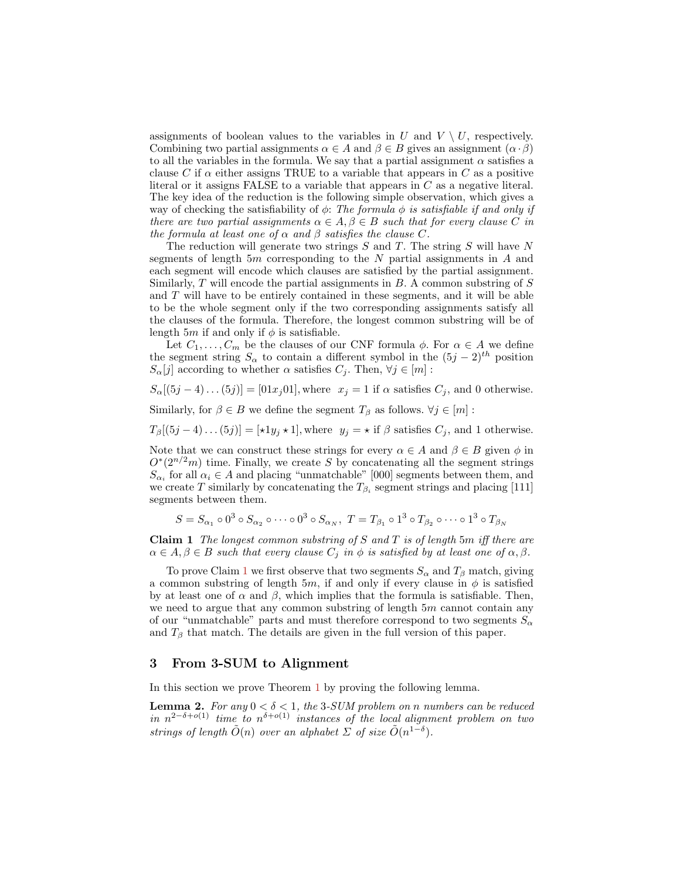assignments of boolean values to the variables in U and  $V \setminus U$ , respectively. Combining two partial assignments  $\alpha \in A$  and  $\beta \in B$  gives an assignment  $(\alpha \cdot \beta)$ to all the variables in the formula. We say that a partial assignment  $\alpha$  satisfies a clause C if  $\alpha$  either assigns TRUE to a variable that appears in C as a positive literal or it assigns FALSE to a variable that appears in C as a negative literal. The key idea of the reduction is the following simple observation, which gives a way of checking the satisfiability of  $\phi$ : The formula  $\phi$  is satisfiable if and only if there are two partial assignments  $\alpha \in A, \beta \in B$  such that for every clause C in the formula at least one of  $\alpha$  and  $\beta$  satisfies the clause C.

The reduction will generate two strings  $S$  and  $T$ . The string  $S$  will have  $N$ segments of length  $5m$  corresponding to the  $N$  partial assignments in  $A$  and each segment will encode which clauses are satisfied by the partial assignment. Similarly,  $T$  will encode the partial assignments in  $B$ . A common substring of  $S$ and T will have to be entirely contained in these segments, and it will be able to be the whole segment only if the two corresponding assignments satisfy all the clauses of the formula. Therefore, the longest common substring will be of length 5m if and only if  $\phi$  is satisfiable.

Let  $C_1, \ldots, C_m$  be the clauses of our CNF formula  $\phi$ . For  $\alpha \in A$  we define the segment string  $S_{\alpha}$  to contain a different symbol in the  $(5j - 2)^{th}$  position  $S_{\alpha}[j]$  according to whether  $\alpha$  satisfies  $C_j$ . Then,  $\forall j \in [m]$ :

 $S_{\alpha}[(5j-4)...(5j)] = [01x_j01]$ , where  $x_j = 1$  if  $\alpha$  satisfies  $C_j$ , and 0 otherwise.

Similarly, for  $\beta \in B$  we define the segment  $T_{\beta}$  as follows.  $\forall j \in [m]$ :

 $T_{\beta}[(5j-4)...(5j)] = [\star 1y_j \star 1]$ , where  $y_j = \star$  if  $\beta$  satisfies  $C_j$ , and 1 otherwise.

Note that we can construct these strings for every  $\alpha \in A$  and  $\beta \in B$  given  $\phi$  in  $O<sup>*</sup>(2<sup>n/2</sup>m)$  time. Finally, we create S by concatenating all the segment strings  $S_{\alpha_i}$  for all  $\alpha_i \in A$  and placing "unmatchable" [000] segments between them, and we create T similarly by concatenating the  $T_{\beta_i}$  segment strings and placing [111] segments between them.

$$
S = S_{\alpha_1} \circ 0^3 \circ S_{\alpha_2} \circ \cdots \circ 0^3 \circ S_{\alpha_N}, \ T = T_{\beta_1} \circ 1^3 \circ T_{\beta_2} \circ \cdots \circ 1^3 \circ T_{\beta_N}
$$

<span id="page-6-1"></span>**Claim 1** The longest common substring of S and T is of length 5m iff there are  $\alpha \in A, \beta \in B$  such that every clause  $C_i$  in  $\phi$  is satisfied by at least one of  $\alpha, \beta$ .

To prove Claim [1](#page-6-1) we first observe that two segments  $S_{\alpha}$  and  $T_{\beta}$  match, giving a common substring of length 5m, if and only if every clause in  $\phi$  is satisfied by at least one of  $\alpha$  and  $\beta$ , which implies that the formula is satisfiable. Then, we need to argue that any common substring of length  $5m$  cannot contain any of our "unmatchable" parts and must therefore correspond to two segments  $S_{\alpha}$ and  $T_\beta$  that match. The details are given in the full version of this paper.

### <span id="page-6-0"></span>3 From 3-SUM to Alignment

In this section we prove Theorem [1](#page-2-0) by proving the following lemma.

**Lemma 2.** For any  $0 < \delta < 1$ , the 3-SUM problem on n numbers can be reduced in  $n^{2-\delta+o(1)}$  time to  $n^{\delta+o(1)}$  instances of the local alignment problem on two strings of length  $\tilde{O}(n)$  over an alphabet  $\Sigma$  of size  $\tilde{O}(n^{1-\delta})$ .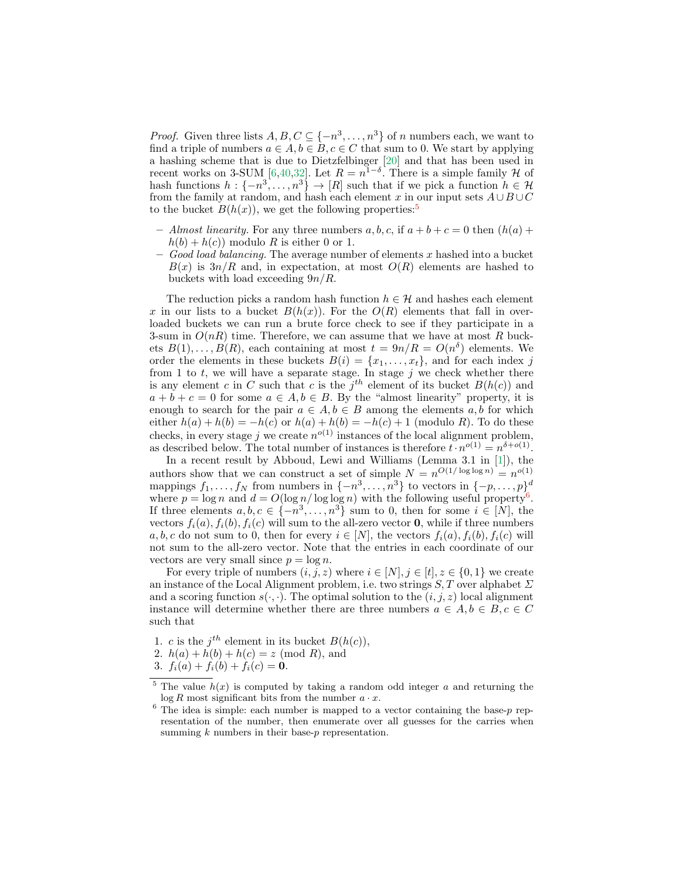*Proof.* Given three lists  $A, B, C \subseteq \{-n^3, \ldots, n^3\}$  of n numbers each, we want to find a triple of numbers  $a \in A, b \in B, c \in C$  that sum to 0. We start by applying a hashing scheme that is due to Dietzfelbinger [\[20\]](#page-10-24) and that has been used in recent works on 3-SUM [\[6,](#page-10-3)[40,](#page-11-3)[32\]](#page-11-4). Let  $R = n^{1-\delta}$ . There is a simple family H of hash functions  $h: \{-n^3, \ldots, n^3\} \to [R]$  such that if we pick a function  $h \in \mathcal{H}$ from the family at random, and hash each element x in our input sets  $A\cup B\cup C$ to the bucket  $B(h(x))$ , we get the following properties:<sup>[5](#page-7-0)</sup>

- Almost linearity. For any three numbers  $a, b, c$ , if  $a + b + c = 0$  then  $(h(a) +$  $h(b) + h(c)$  modulo R is either 0 or 1.
- $-$  Good load balancing. The average number of elements x hashed into a bucket  $B(x)$  is  $3n/R$  and, in expectation, at most  $O(R)$  elements are hashed to buckets with load exceeding  $9n/R$ .

The reduction picks a random hash function  $h \in \mathcal{H}$  and hashes each element x in our lists to a bucket  $B(h(x))$ . For the  $O(R)$  elements that fall in overloaded buckets we can run a brute force check to see if they participate in a 3-sum in  $O(nR)$  time. Therefore, we can assume that we have at most R buckets  $B(1), \ldots, B(R)$ , each containing at most  $t = 9n/R = O(n^{\delta})$  elements. We order the elements in these buckets  $B(i) = \{x_1, \ldots, x_t\}$ , and for each index j from 1 to  $t$ , we will have a separate stage. In stage  $j$  we check whether there is any element c in C such that c is the  $j<sup>th</sup>$  element of its bucket  $B(h(c))$  and  $a + b + c = 0$  for some  $a \in A, b \in B$ . By the "almost linearity" property, it is enough to search for the pair  $a \in A, b \in B$  among the elements a, b for which either  $h(a) + h(b) = -h(c)$  or  $h(a) + h(b) = -h(c) + 1$  (modulo R). To do these checks, in every stage j we create  $n^{o(1)}$  instances of the local alignment problem, as described below. The total number of instances is therefore  $t \cdot n^{o(1)} = n^{\delta + o(1)}$ .

In a recent result by Abboud, Lewi and Williams (Lemma 3.1 in [\[1\]](#page-9-2)), the authors show that we can construct a set of simple  $N = n^{O(1/\log \log n)} = n^{o(1)}$ mappings  $f_1, \ldots, f_N$  from numbers in  $\{-n^3, \ldots, n^3\}$  to vectors in  $\{-p, \ldots, p\}^d$ where  $p = \log n$  and  $d = O(\log n / \log \log n)$  with the following useful property<sup>[6](#page-7-1)</sup>. If three elements  $a, b, c \in \{-n^3, \ldots, n^3\}$  sum to 0, then for some  $i \in [N]$ , the vectors  $f_i(a)$ ,  $f_i(b)$ ,  $f_i(c)$  will sum to the all-zero vector **0**, while if three numbers a, b, c do not sum to 0, then for every  $i \in [N]$ , the vectors  $f_i(a)$ ,  $f_i(b)$ ,  $f_i(c)$  will not sum to the all-zero vector. Note that the entries in each coordinate of our vectors are very small since  $p = \log n$ .

For every triple of numbers  $(i, j, z)$  where  $i \in [N], j \in [t], z \in \{0, 1\}$  we create an instance of the Local Alignment problem, i.e. two strings  $S, T$  over alphabet  $\Sigma$ and a scoring function  $s(\cdot, \cdot)$ . The optimal solution to the  $(i, j, z)$  local alignment instance will determine whether there are three numbers  $a \in A, b \in B, c \in C$ such that

- 1. c is the  $j^{th}$  element in its bucket  $B(h(c))$ ,
- 2.  $h(a) + h(b) + h(c) = z \pmod{R}$ , and
- 3.  $f_i(a) + f_i(b) + f_i(c) = 0$ .

<span id="page-7-0"></span> $\frac{5}{5}$  The value  $h(x)$  is computed by taking a random odd integer a and returning the  $log R$  most significant bits from the number  $a \cdot x$ .

<span id="page-7-1"></span> $6$  The idea is simple: each number is mapped to a vector containing the base- $p$  representation of the number, then enumerate over all guesses for the carries when summing  $k$  numbers in their base- $p$  representation.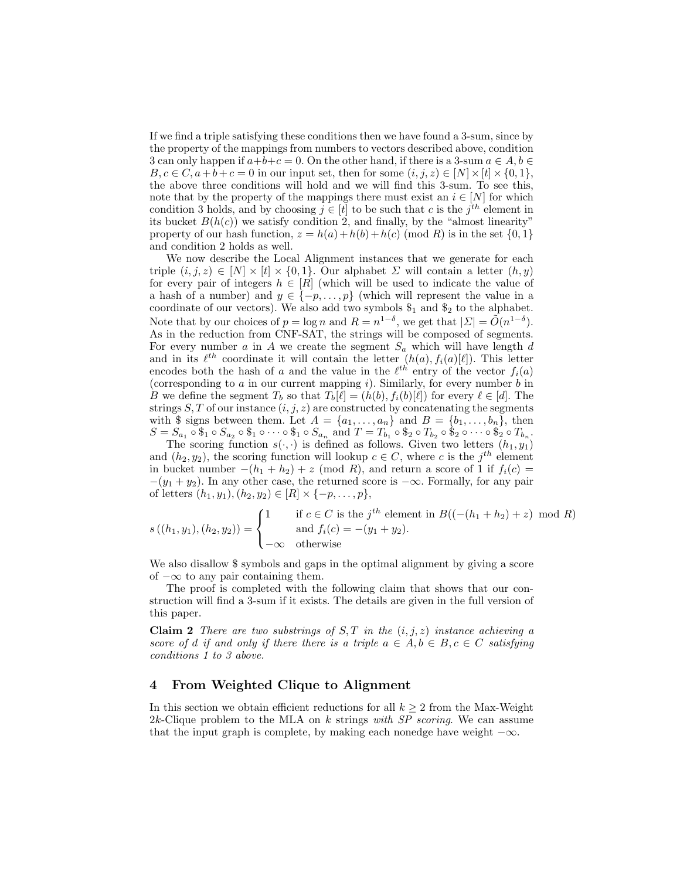If we find a triple satisfying these conditions then we have found a 3-sum, since by the property of the mappings from numbers to vectors described above, condition 3 can only happen if  $a+b+c=0$ . On the other hand, if there is a 3-sum  $a \in A, b \in \mathbb{R}$  $B, c \in C, a+b+c=0$  in our input set, then for some  $(i, j, z) \in [N] \times [t] \times \{0, 1\},$ the above three conditions will hold and we will find this 3-sum. To see this, note that by the property of the mappings there must exist an  $i \in [N]$  for which condition 3 holds, and by choosing  $j \in [t]$  to be such that c is the  $j<sup>th</sup>$  element in its bucket  $B(h(c))$  we satisfy condition 2, and finally, by the "almost linearity" property of our hash function,  $z = h(a) + h(b) + h(c)$  (mod R) is in the set  $\{0, 1\}$ and condition 2 holds as well.

We now describe the Local Alignment instances that we generate for each triple  $(i, j, z) \in [N] \times [t] \times \{0, 1\}$ . Our alphabet  $\Sigma$  will contain a letter  $(h, y)$ for every pair of integers  $h \in [R]$  (which will be used to indicate the value of a hash of a number) and  $y \in \{-p, \ldots, p\}$  (which will represent the value in a coordinate of our vectors). We also add two symbols  $\$_1$  and  $\$_2$  to the alphabet. Note that by our choices of  $p = \log n$  and  $R = n^{1-\delta}$ , we get that  $|\Sigma| = \tilde{O}(n^{1-\delta})$ . As in the reduction from CNF-SAT, the strings will be composed of segments. For every number  $a$  in  $A$  we create the segment  $S_a$  which will have length  $d$ and in its  $\ell^{th}$  coordinate it will contain the letter  $(h(a), f_i(a)[\ell])$ . This letter encodes both the hash of a and the value in the  $\ell^{th}$  entry of the vector  $f_i(a)$ (corresponding to a in our current mapping i). Similarly, for every number b in B we define the segment  $T_b$  so that  $T_b[\ell] = (h(b), f_i(b)[\ell])$  for every  $\ell \in [d]$ . The strings  $S, T$  of our instance  $(i, j, z)$  are constructed by concatenating the segments with \$ signs between them. Let  $A = \{a_1, \ldots, a_n\}$  and  $B = \{b_1, \ldots, b_n\}$ , then  $S = S_{a_1} \circ \$_1 \circ S_{a_2} \circ \$_1 \circ \cdots \circ \$_1 \circ S_{a_n}$  and  $T = T_{b_1} \circ \$_2 \circ T_{b_2} \circ \$_2 \circ \cdots \circ \$_2 \circ T_{b_n}$ .

The scoring function  $s(\cdot, \cdot)$  is defined as follows. Given two letters  $(h_1, y_1)$ and  $(h_2, y_2)$ , the scoring function will lookup  $c \in C$ , where c is the j<sup>th</sup> element in bucket number  $-(h_1 + h_2) + z$  (mod R), and return a score of 1 if  $f_i(c)$  =  $-(y_1 + y_2)$ . In any other case, the returned score is  $-\infty$ . Formally, for any pair of letters  $(h_1, y_1), (h_2, y_2) \in [R] \times \{-p, \ldots, p\},\$ 

$$
s((h_1, y_1), (h_2, y_2)) = \begin{cases} 1 & \text{if } c \in C \text{ is the } j^{th} \text{ element in } B((-h_1 + h_2) + z) \mod R) \\ \text{and } f_i(c) = -(y_1 + y_2). \\ -\infty & \text{otherwise} \end{cases}
$$

We also disallow \$ symbols and gaps in the optimal alignment by giving a score of  $-\infty$  to any pair containing them.

The proof is completed with the following claim that shows that our construction will find a 3-sum if it exists. The details are given in the full version of this paper.

**Claim 2** There are two substrings of S, T in the  $(i, j, z)$  instance achieving a score of d if and only if there there is a triple  $a \in A, b \in B, c \in C$  satisfying conditions 1 to 3 above.

# 4 From Weighted Clique to Alignment

<span id="page-8-0"></span>In this section we obtain efficient reductions for all  $k \geq 2$  from the Max-Weight 2k-Clique problem to the MLA on  $k$  strings with  $SP$  scoring. We can assume that the input graph is complete, by making each nonedge have weight  $-\infty$ .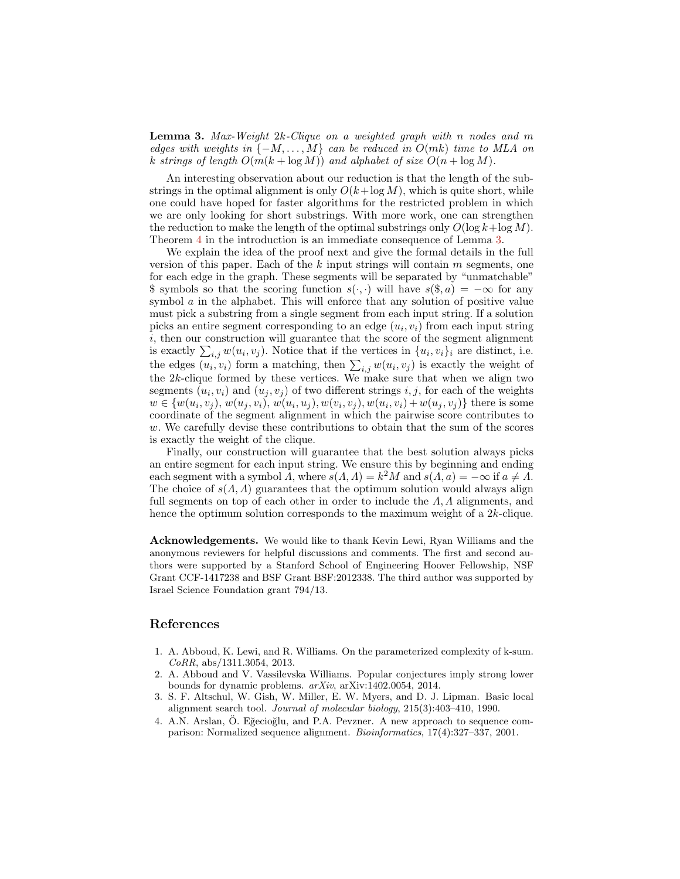**Lemma 3.** Max-Weight  $2k$ -Clique on a weighted graph with n nodes and m edges with weights in  $\{-M, \ldots, M\}$  can be reduced in  $O(mk)$  time to MLA on k strings of length  $O(m(k + \log M))$  and alphabet of size  $O(n + \log M)$ .

An interesting observation about our reduction is that the length of the substrings in the optimal alignment is only  $O(k + \log M)$ , which is quite short, while one could have hoped for faster algorithms for the restricted problem in which we are only looking for short substrings. With more work, one can strengthen the reduction to make the length of the optimal substrings only  $O(\log k + \log M)$ . Theorem [4](#page-4-2) in the introduction is an immediate consequence of Lemma [3.](#page-8-0)

We explain the idea of the proof next and give the formal details in the full version of this paper. Each of the  $k$  input strings will contain  $m$  segments, one for each edge in the graph. These segments will be separated by "unmatchable" \$ symbols so that the scoring function  $s(\cdot, \cdot)$  will have  $s(\text{\$}, a) = -\infty$  for any symbol  $\alpha$  in the alphabet. This will enforce that any solution of positive value must pick a substring from a single segment from each input string. If a solution picks an entire segment corresponding to an edge  $(u_i, v_i)$  from each input string  $i$ , then our construction will guarantee that the score of the segment alignment is exactly  $\sum_{i,j} w(u_i, v_j)$ . Notice that if the vertices in  $\{u_i, v_i\}_i$  are distinct, i.e. the edges  $(u_i, v_i)$  form a matching, then  $\sum_{i,j} w(u_i, v_j)$  is exactly the weight of the 2k-clique formed by these vertices. We make sure that when we align two segments  $(u_i, v_i)$  and  $(u_j, v_j)$  of two different strings  $i, j$ , for each of the weights  $w \in \{w(u_i, v_j), w(u_j, v_i), w(u_i, u_j), w(v_i, v_j), w(u_i, v_i) + w(u_j, v_j)\}\$  there is some coordinate of the segment alignment in which the pairwise score contributes to w. We carefully devise these contributions to obtain that the sum of the scores is exactly the weight of the clique.

Finally, our construction will guarantee that the best solution always picks an entire segment for each input string. We ensure this by beginning and ending each segment with a symbol  $\overline{A}$ , where  $\overline{s}(A, A) = k^2 M$  and  $\overline{s}(A, a) = -\infty$  if  $a \neq A$ . The choice of  $s(A, A)$  guarantees that the optimum solution would always align full segments on top of each other in order to include the  $\Lambda$ ,  $\Lambda$  alignments, and hence the optimum solution corresponds to the maximum weight of a 2k-clique.

Acknowledgements. We would like to thank Kevin Lewi, Ryan Williams and the anonymous reviewers for helpful discussions and comments. The first and second authors were supported by a Stanford School of Engineering Hoover Fellowship, NSF Grant CCF-1417238 and BSF Grant BSF:2012338. The third author was supported by Israel Science Foundation grant 794/13.

#### References

- <span id="page-9-2"></span>1. A. Abboud, K. Lewi, and R. Williams. On the parameterized complexity of k-sum.  $CoRR$ , abs/1311.3054, 2013.
- <span id="page-9-1"></span>2. A. Abboud and V. Vassilevska Williams. Popular conjectures imply strong lower bounds for dynamic problems. arXiv, arXiv:1402.0054, 2014.
- <span id="page-9-0"></span>3. S. F. Altschul, W. Gish, W. Miller, E. W. Myers, and D. J. Lipman. Basic local alignment search tool. Journal of molecular biology, 215(3):403–410, 1990.
- <span id="page-9-3"></span>4. A.N. Arslan, Ö. Eğecioğlu, and P.A. Pevzner. A new approach to sequence comparison: Normalized sequence alignment. Bioinformatics, 17(4):327–337, 2001.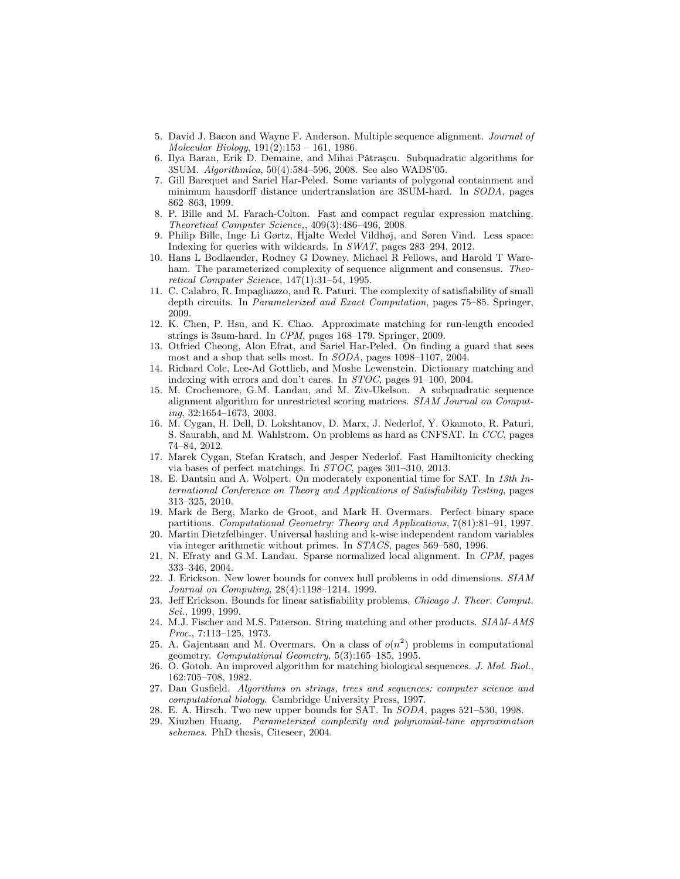- <span id="page-10-17"></span>5. David J. Bacon and Wayne F. Anderson. Multiple sequence alignment. Journal of Molecular Biology, 191(2):153 – 161, 1986.
- <span id="page-10-3"></span>6. Ilya Baran, Erik D. Demaine, and Mihai Pătrașcu. Subquadratic algorithms for 3SUM. Algorithmica, 50(4):584–596, 2008. See also WADS'05.
- <span id="page-10-8"></span>7. Gill Barequet and Sariel Har-Peled. Some variants of polygonal containment and minimum hausdorff distance undertranslation are 3SUM-hard. In SODA, pages 862–863, 1999.
- <span id="page-10-1"></span>8. P. Bille and M. Farach-Colton. Fast and compact regular expression matching. Theoretical Computer Science,, 409(3):486–496, 2008.
- <span id="page-10-23"></span>9. Philip Bille, Inge Li Gørtz, Hjalte Wedel Vildhøj, and Søren Vind. Less space: Indexing for queries with wildcards. In SWAT, pages 283–294, 2012.
- <span id="page-10-18"></span>10. Hans L Bodlaender, Rodney G Downey, Michael R Fellows, and Harold T Wareham. The parameterized complexity of sequence alignment and consensus. Theoretical Computer Science, 147(1):31–54, 1995.
- <span id="page-10-11"></span>11. C. Calabro, R. Impagliazzo, and R. Paturi. The complexity of satisfiability of small depth circuits. In Parameterized and Exact Computation, pages 75–85. Springer, 2009.
- <span id="page-10-9"></span>12. K. Chen, P. Hsu, and K. Chao. Approximate matching for run-length encoded strings is 3sum-hard. In CPM, pages 168–179. Springer, 2009.
- <span id="page-10-7"></span>13. Otfried Cheong, Alon Efrat, and Sariel Har-Peled. On finding a guard that sees most and a shop that sells most. In SODA, pages 1098–1107, 2004.
- <span id="page-10-22"></span>14. Richard Cole, Lee-Ad Gottlieb, and Moshe Lewenstein. Dictionary matching and indexing with errors and don't cares. In STOC, pages 91–100, 2004.
- <span id="page-10-0"></span>15. M. Crochemore, G.M. Landau, and M. Ziv-Ukelson. A subquadratic sequence alignment algorithm for unrestricted scoring matrices. SIAM Journal on Computing, 32:1654–1673, 2003.
- <span id="page-10-14"></span>16. M. Cygan, H. Dell, D. Lokshtanov, D. Marx, J. Nederlof, Y. Okamoto, R. Paturi, S. Saurabh, and M. Wahlstrom. On problems as hard as CNFSAT. In CCC, pages 74–84, 2012.
- <span id="page-10-13"></span>17. Marek Cygan, Stefan Kratsch, and Jesper Nederlof. Fast Hamiltonicity checking via bases of perfect matchings. In STOC, pages 301–310, 2013.
- <span id="page-10-12"></span>18. E. Dantsin and A. Wolpert. On moderately exponential time for SAT. In 13th International Conference on Theory and Applications of Satisfiability Testing, pages 313–325, 2010.
- <span id="page-10-5"></span>19. Mark de Berg, Marko de Groot, and Mark H. Overmars. Perfect binary space partitions. Computational Geometry: Theory and Applications, 7(81):81–91, 1997.
- <span id="page-10-24"></span>20. Martin Dietzfelbinger. Universal hashing and k-wise independent random variables via integer arithmetic without primes. In STACS, pages 569–580, 1996.
- <span id="page-10-21"></span>21. N. Efraty and G.M. Landau. Sparse normalized local alignment. In CPM, pages 333–346, 2004.
- <span id="page-10-6"></span>22. J. Erickson. New lower bounds for convex hull problems in odd dimensions. SIAM Journal on Computing, 28(4):1198–1214, 1999.
- <span id="page-10-4"></span>23. Jeff Erickson. Bounds for linear satisfiability problems. Chicago J. Theor. Comput. Sci., 1999, 1999.
- <span id="page-10-16"></span>24. M.J. Fischer and M.S. Paterson. String matching and other products. SIAM-AMS Proc., 7:113–125, 1973.
- <span id="page-10-2"></span>25. A. Gajentaan and M. Overmars. On a class of  $o(n^2)$  problems in computational geometry. Computational Geometry, 5(3):165–185, 1995.
- <span id="page-10-20"></span>26. O. Gotoh. An improved algorithm for matching biological sequences. J. Mol. Biol., 162:705–708, 1982.
- <span id="page-10-15"></span>27. Dan Gusfield. Algorithms on strings, trees and sequences: computer science and computational biology. Cambridge University Press, 1997.
- <span id="page-10-10"></span>28. E. A. Hirsch. Two new upper bounds for SAT. In SODA, pages 521–530, 1998.
- <span id="page-10-19"></span>29. Xiuzhen Huang. Parameterized complexity and polynomial-time approximation schemes. PhD thesis, Citeseer, 2004.